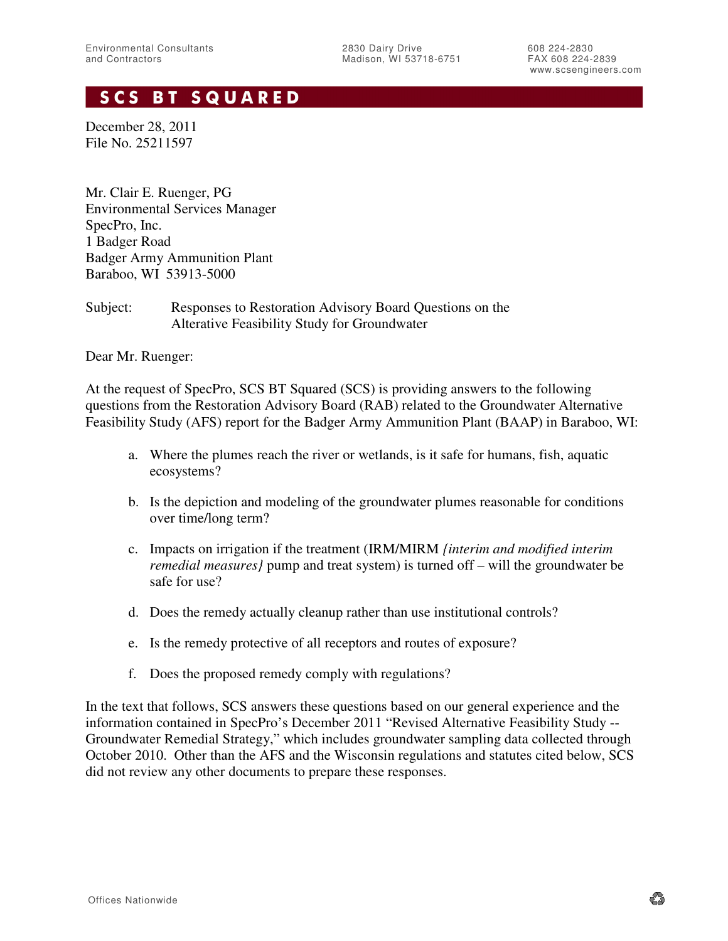# **SCS BT SQUARED**

December 28, 2011 File No. 25211597

Mr. Clair E. Ruenger, PG Environmental Services Manager SpecPro, Inc. 1 Badger Road Badger Army Ammunition Plant Baraboo, WI 53913-5000

## Subject: Responses to Restoration Advisory Board Questions on the Alterative Feasibility Study for Groundwater

Dear Mr. Ruenger:

At the request of SpecPro, SCS BT Squared (SCS) is providing answers to the following questions from the Restoration Advisory Board (RAB) related to the Groundwater Alternative Feasibility Study (AFS) report for the Badger Army Ammunition Plant (BAAP) in Baraboo, WI:

- a. Where the plumes reach the river or wetlands, is it safe for humans, fish, aquatic ecosystems?
- b. Is the depiction and modeling of the groundwater plumes reasonable for conditions over time/long term?
- c. Impacts on irrigation if the treatment (IRM/MIRM *{interim and modified interim remedial measures}* pump and treat system) is turned off – will the groundwater be safe for use?
- d. Does the remedy actually cleanup rather than use institutional controls?
- e. Is the remedy protective of all receptors and routes of exposure?
- f. Does the proposed remedy comply with regulations?

In the text that follows, SCS answers these questions based on our general experience and the information contained in SpecPro's December 2011 "Revised Alternative Feasibility Study -- Groundwater Remedial Strategy," which includes groundwater sampling data collected through October 2010. Other than the AFS and the Wisconsin regulations and statutes cited below, SCS did not review any other documents to prepare these responses.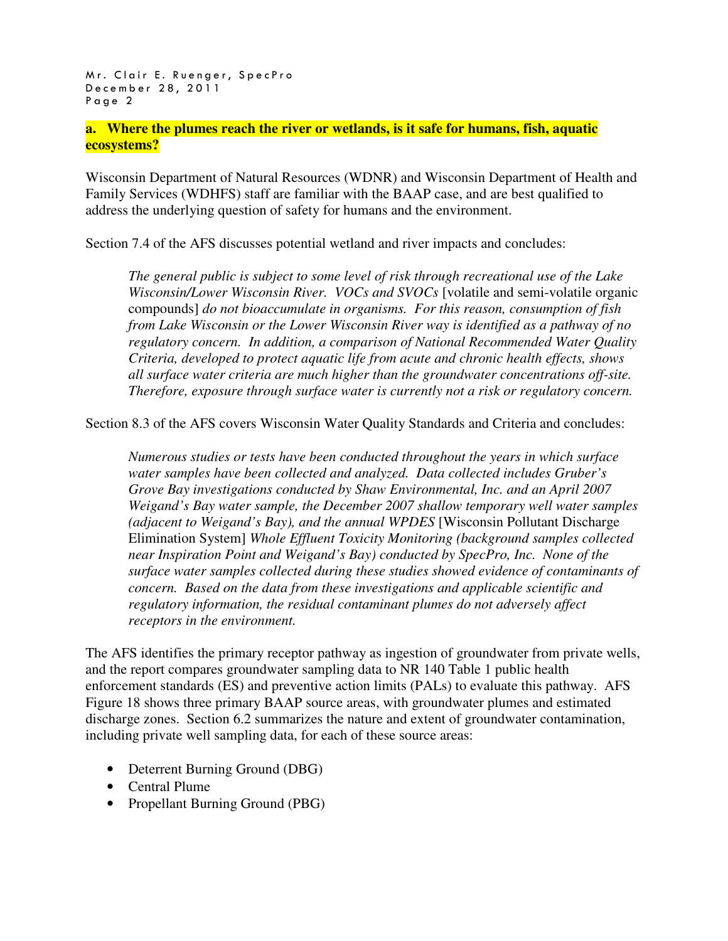**a. Where the plumes reach the river or wetlands, is it safe for humans, fish, aquatic ecosystems?** 

Wisconsin Department of Natural Resources (WDNR) and Wisconsin Department of Health and Family Services (WDHFS) staff are familiar with the BAAP case, and are best qualified to address the underlying question of safety for humans and the environment.

Section 7.4 of the AFS discusses potential wetland and river impacts and concludes:

*The general public is subject to some level of risk through recreational use of the Lake Wisconsin/Lower Wisconsin River. VOCs and SVOCs* [volatile and semi-volatile organic compounds] *do not bioaccumulate in organisms. For this reason, consumption of fish from Lake Wisconsin or the Lower Wisconsin River way is identified as a pathway of no regulatory concern. In addition, a comparison of National Recommended Water Quality Criteria, developed to protect aquatic life from acute and chronic health effects, shows all surface water criteria are much higher than the groundwater concentrations off-site. Therefore, exposure through surface water is currently not a risk or regulatory concern.* 

Section 8.3 of the AFS covers Wisconsin Water Quality Standards and Criteria and concludes:

*Numerous studies or tests have been conducted throughout the years in which surface water samples have been collected and analyzed. Data collected includes Gruber's Grove Bay investigations conducted by Shaw Environmental, Inc. and an April 2007 Weigand's Bay water sample, the December 2007 shallow temporary well water samples (adjacent to Weigand's Bay), and the annual WPDES* [Wisconsin Pollutant Discharge Elimination System] *Whole Effluent Toxicity Monitoring (background samples collected near Inspiration Point and Weigand's Bay) conducted by SpecPro, Inc. None of the surface water samples collected during these studies showed evidence of contaminants of concern. Based on the data from these investigations and applicable scientific and regulatory information, the residual contaminant plumes do not adversely affect receptors in the environment.* 

The AFS identifies the primary receptor pathway as ingestion of groundwater from private wells, and the report compares groundwater sampling data to NR 140 Table 1 public health enforcement standards (ES) and preventive action limits (PALs) to evaluate this pathway. AFS Figure 18 shows three primary BAAP source areas, with groundwater plumes and estimated discharge zones. Section 6.2 summarizes the nature and extent of groundwater contamination, including private well sampling data, for each of these source areas:

- Deterrent Burning Ground (DBG)
- Central Plume
- Propellant Burning Ground (PBG)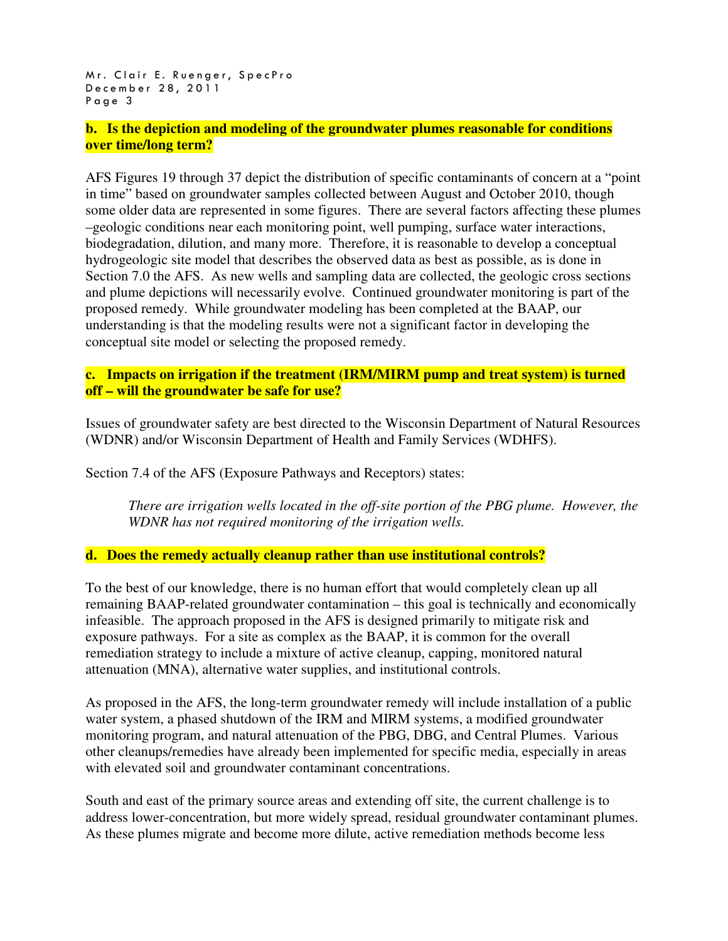Mr. Clair E. Ruenger, SpecPro December 28, 2011 Page 3

**b. Is the depiction and modeling of the groundwater plumes reasonable for conditions over time/long term?** 

AFS Figures 19 through 37 depict the distribution of specific contaminants of concern at a "point in time" based on groundwater samples collected between August and October 2010, though some older data are represented in some figures. There are several factors affecting these plumes –geologic conditions near each monitoring point, well pumping, surface water interactions, biodegradation, dilution, and many more. Therefore, it is reasonable to develop a conceptual hydrogeologic site model that describes the observed data as best as possible, as is done in Section 7.0 the AFS. As new wells and sampling data are collected, the geologic cross sections and plume depictions will necessarily evolve. Continued groundwater monitoring is part of the proposed remedy. While groundwater modeling has been completed at the BAAP, our understanding is that the modeling results were not a significant factor in developing the conceptual site model or selecting the proposed remedy.

## **c. Impacts on irrigation if the treatment (IRM/MIRM pump and treat system) is turned off – will the groundwater be safe for use?**

Issues of groundwater safety are best directed to the Wisconsin Department of Natural Resources (WDNR) and/or Wisconsin Department of Health and Family Services (WDHFS).

Section 7.4 of the AFS (Exposure Pathways and Receptors) states:

*There are irrigation wells located in the off-site portion of the PBG plume. However, the WDNR has not required monitoring of the irrigation wells.*

## **d. Does the remedy actually cleanup rather than use institutional controls?**

To the best of our knowledge, there is no human effort that would completely clean up all remaining BAAP-related groundwater contamination – this goal is technically and economically infeasible. The approach proposed in the AFS is designed primarily to mitigate risk and exposure pathways. For a site as complex as the BAAP, it is common for the overall remediation strategy to include a mixture of active cleanup, capping, monitored natural attenuation (MNA), alternative water supplies, and institutional controls.

As proposed in the AFS, the long-term groundwater remedy will include installation of a public water system, a phased shutdown of the IRM and MIRM systems, a modified groundwater monitoring program, and natural attenuation of the PBG, DBG, and Central Plumes. Various other cleanups/remedies have already been implemented for specific media, especially in areas with elevated soil and groundwater contaminant concentrations.

South and east of the primary source areas and extending off site, the current challenge is to address lower-concentration, but more widely spread, residual groundwater contaminant plumes. As these plumes migrate and become more dilute, active remediation methods become less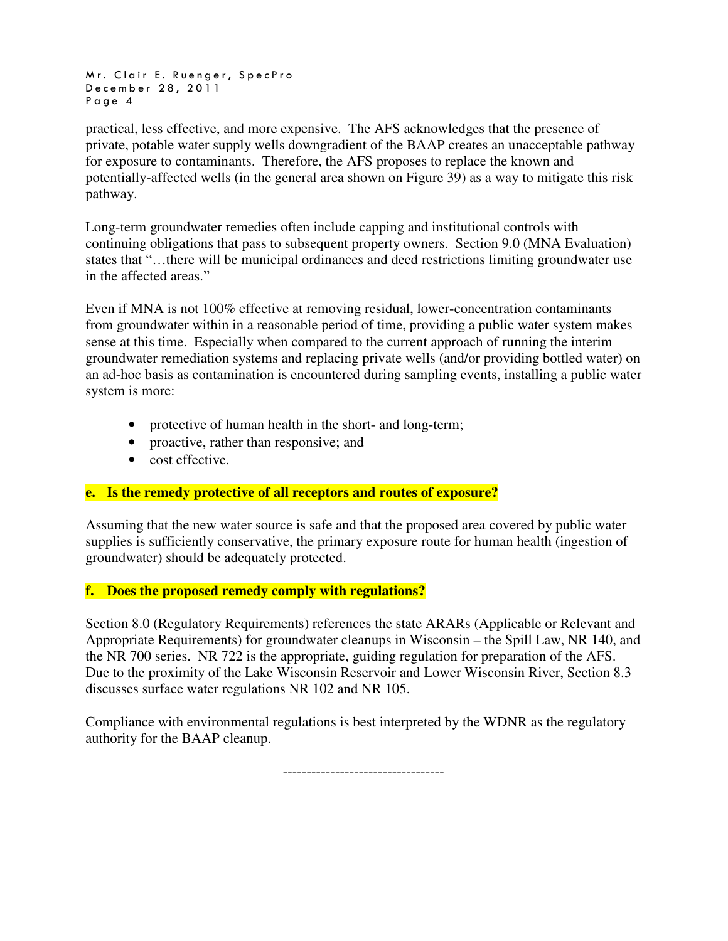Mr. Clair E. Ruenger, SpecPro December 28, 2011 Page 4

practical, less effective, and more expensive. The AFS acknowledges that the presence of private, potable water supply wells downgradient of the BAAP creates an unacceptable pathway for exposure to contaminants. Therefore, the AFS proposes to replace the known and potentially-affected wells (in the general area shown on Figure 39) as a way to mitigate this risk pathway.

Long-term groundwater remedies often include capping and institutional controls with continuing obligations that pass to subsequent property owners. Section 9.0 (MNA Evaluation) states that "…there will be municipal ordinances and deed restrictions limiting groundwater use in the affected areas."

Even if MNA is not 100% effective at removing residual, lower-concentration contaminants from groundwater within in a reasonable period of time, providing a public water system makes sense at this time. Especially when compared to the current approach of running the interim groundwater remediation systems and replacing private wells (and/or providing bottled water) on an ad-hoc basis as contamination is encountered during sampling events, installing a public water system is more:

- protective of human health in the short- and long-term;
- proactive, rather than responsive; and
- cost effective.

## **e. Is the remedy protective of all receptors and routes of exposure?**

Assuming that the new water source is safe and that the proposed area covered by public water supplies is sufficiently conservative, the primary exposure route for human health (ingestion of groundwater) should be adequately protected.

## **f. Does the proposed remedy comply with regulations?**

Section 8.0 (Regulatory Requirements) references the state ARARs (Applicable or Relevant and Appropriate Requirements) for groundwater cleanups in Wisconsin – the Spill Law, NR 140, and the NR 700 series. NR 722 is the appropriate, guiding regulation for preparation of the AFS. Due to the proximity of the Lake Wisconsin Reservoir and Lower Wisconsin River, Section 8.3 discusses surface water regulations NR 102 and NR 105.

Compliance with environmental regulations is best interpreted by the WDNR as the regulatory authority for the BAAP cleanup.

----------------------------------